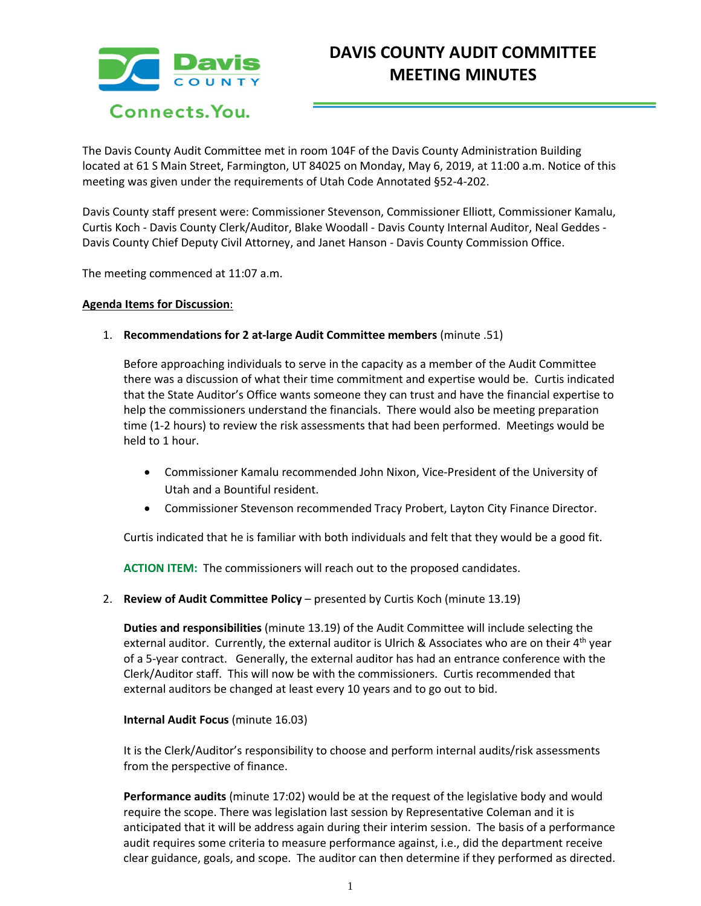

The Davis County Audit Committee met in room 104F of the Davis County Administration Building located at 61 S Main Street, Farmington, UT 84025 on Monday, May 6, 2019, at 11:00 a.m. Notice of this meeting was given under the requirements of Utah Code Annotated §52-4-202.

Davis County staff present were: Commissioner Stevenson, Commissioner Elliott, Commissioner Kamalu, Curtis Koch - Davis County Clerk/Auditor, Blake Woodall - Davis County Internal Auditor, Neal Geddes - Davis County Chief Deputy Civil Attorney, and Janet Hanson - Davis County Commission Office.

The meeting commenced at 11:07 a.m.

## **Agenda Items for Discussion**:

1. **Recommendations for 2 at-large Audit Committee members** (minute .51)

Before approaching individuals to serve in the capacity as a member of the Audit Committee there was a discussion of what their time commitment and expertise would be. Curtis indicated that the State Auditor's Office wants someone they can trust and have the financial expertise to help the commissioners understand the financials. There would also be meeting preparation time (1-2 hours) to review the risk assessments that had been performed. Meetings would be held to 1 hour.

- Commissioner Kamalu recommended John Nixon, Vice-President of the University of Utah and a Bountiful resident.
- Commissioner Stevenson recommended Tracy Probert, Layton City Finance Director.

Curtis indicated that he is familiar with both individuals and felt that they would be a good fit.

**ACTION ITEM:** The commissioners will reach out to the proposed candidates.

2. **Review of Audit Committee Policy** – presented by Curtis Koch (minute 13.19)

**Duties and responsibilities** (minute 13.19) of the Audit Committee will include selecting the external auditor. Currently, the external auditor is Ulrich & Associates who are on their 4<sup>th</sup> year of a 5-year contract. Generally, the external auditor has had an entrance conference with the Clerk/Auditor staff. This will now be with the commissioners. Curtis recommended that external auditors be changed at least every 10 years and to go out to bid.

## **Internal Audit Focus** (minute 16.03)

It is the Clerk/Auditor's responsibility to choose and perform internal audits/risk assessments from the perspective of finance.

**Performance audits** (minute 17:02) would be at the request of the legislative body and would require the scope. There was legislation last session by Representative Coleman and it is anticipated that it will be address again during their interim session. The basis of a performance audit requires some criteria to measure performance against, i.e., did the department receive clear guidance, goals, and scope. The auditor can then determine if they performed as directed.